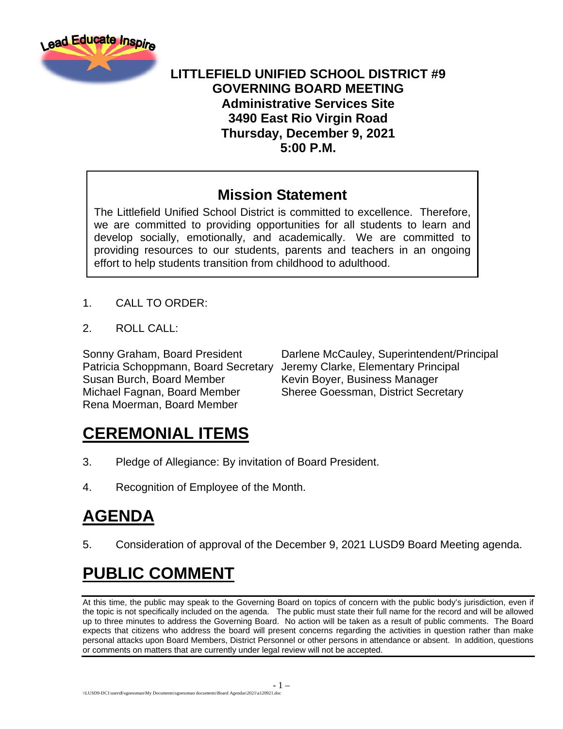

### **LITTLEFIELD UNIFIED SCHOOL DISTRICT #9 GOVERNING BOARD MEETING Administrative Services Site 3490 East Rio Virgin Road Thursday, December 9, 2021 5:00 P.M.**

### **Mission Statement**

The Littlefield Unified School District is committed to excellence. Therefore, we are committed to providing opportunities for all students to learn and develop socially, emotionally, and academically. We are committed to providing resources to our students, parents and teachers in an ongoing effort to help students transition from childhood to adulthood.

- 1. CALL TO ORDER:
- 2. ROLL CALL:

Patricia Schoppmann, Board Secretary Jeremy Clarke, Elementary Principal Susan Burch, Board Member Kevin Boyer, Business Manager Michael Fagnan, Board Member Sheree Goessman, District Secretary Rena Moerman, Board Member

Sonny Graham, Board President Darlene McCauley, Superintendent/Principal

## **CEREMONIAL ITEMS**

- 3. Pledge of Allegiance: By invitation of Board President.
- 4. Recognition of Employee of the Month.

# **AGENDA**

5. Consideration of approval of the December 9, 2021 LUSD9 Board Meeting agenda.

## **PUBLIC COMMENT**

At this time, the public may speak to the Governing Board on topics of concern with the public body's jurisdiction, even if the topic is not specifically included on the agenda. The public must state their full name for the record and will be allowed up to three minutes to address the Governing Board. No action will be taken as a result of public comments. The Board expects that citizens who address the board will present concerns regarding the activities in question rather than make personal attacks upon Board Members, District Personnel or other persons in attendance or absent. In addition, questions or comments on matters that are currently under legal review will not be accepted.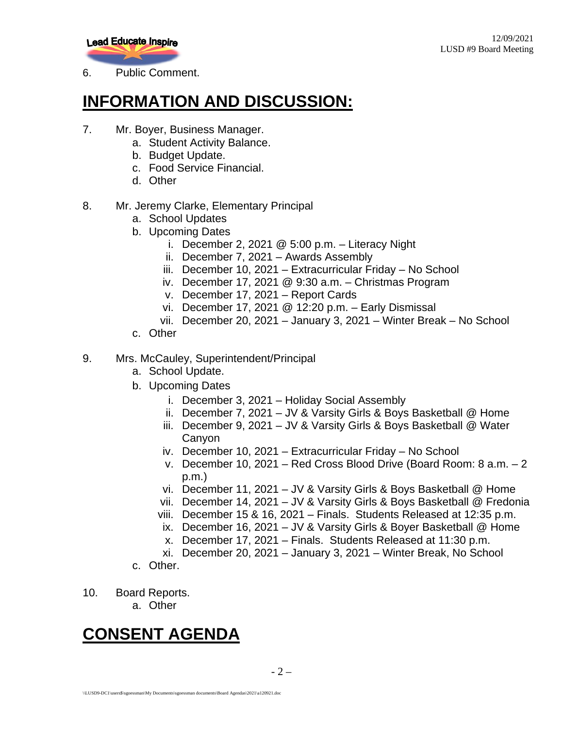

6. Public Comment.

### **INFORMATION AND DISCUSSION:**

- 7. Mr. Boyer, Business Manager.
	- a. Student Activity Balance.
	- b. Budget Update.
	- c. Food Service Financial.
	- d. Other
- 8. Mr. Jeremy Clarke, Elementary Principal
	- a. School Updates
	- b. Upcoming Dates
		- i. December 2, 2021  $@$  5:00 p.m. Literacy Night
		- ii. December 7, 2021 Awards Assembly
		- iii. December 10, 2021 Extracurricular Friday No School
		- iv. December 17, 2021 @ 9:30 a.m. Christmas Program
		- v. December 17, 2021 Report Cards
		- vi. December 17, 2021 @ 12:20 p.m. Early Dismissal
		- vii. December 20, 2021 January 3, 2021 Winter Break No School
	- c. Other

#### 9. Mrs. McCauley, Superintendent/Principal

- a. School Update.
- b. Upcoming Dates
	- i. December 3, 2021 Holiday Social Assembly
	- ii. December 7, 2021 JV & Varsity Girls & Boys Basketball @ Home
	- iii. December 9, 2021 JV & Varsity Girls & Boys Basketball @ Water Canyon
	- iv. December 10, 2021 Extracurricular Friday No School
	- v. December 10, 2021 Red Cross Blood Drive (Board Room: 8 a.m. 2 p.m.)
	- vi. December 11, 2021 JV & Varsity Girls & Boys Basketball @ Home
	- vii. December 14, 2021 JV & Varsity Girls & Boys Basketball @ Fredonia
	- viii. December 15 & 16, 2021 Finals. Students Released at 12:35 p.m.
	- ix. December 16, 2021 JV & Varsity Girls & Boyer Basketball @ Home
	- x. December 17, 2021 Finals. Students Released at 11:30 p.m.
	- xi. December 20, 2021 January 3, 2021 Winter Break, No School
- c. Other.
- 10. Board Reports.
	- a. Other

## **CONSENT AGENDA**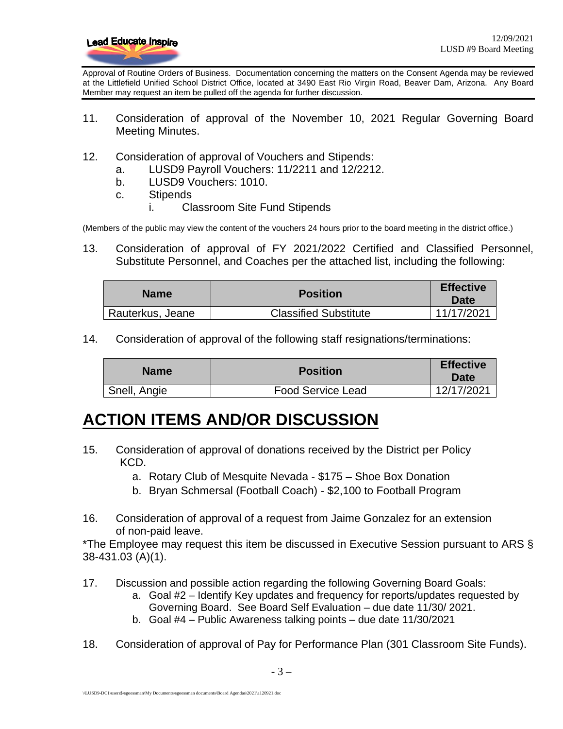

Approval of Routine Orders of Business. Documentation concerning the matters on the Consent Agenda may be reviewed at the Littlefield Unified School District Office, located at 3490 East Rio Virgin Road, Beaver Dam, Arizona. Any Board Member may request an item be pulled off the agenda for further discussion.

- 11. Consideration of approval of the November 10, 2021 Regular Governing Board Meeting Minutes.
- 12. Consideration of approval of Vouchers and Stipends:
	- a. LUSD9 Payroll Vouchers: 11/2211 and 12/2212.
	- b. LUSD9 Vouchers: 1010.
	- c. Stipends
		- i. Classroom Site Fund Stipends

(Members of the public may view the content of the vouchers 24 hours prior to the board meeting in the district office.)

13. Consideration of approval of FY 2021/2022 Certified and Classified Personnel, Substitute Personnel, and Coaches per the attached list, including the following:

| <b>Name</b>      | <b>Position</b>              | <b>Effective</b><br>Date |
|------------------|------------------------------|--------------------------|
| Rauterkus, Jeane | <b>Classified Substitute</b> | 11/17/2021               |

14. Consideration of approval of the following staff resignations/terminations:

| <b>Name</b>  | <b>Position</b>          | <b>Effective</b><br><b>Date</b> |
|--------------|--------------------------|---------------------------------|
| Snell, Angie | <b>Food Service Lead</b> | 12/17/2021                      |

### **ACTION ITEMS AND/OR DISCUSSION**

- 15. Consideration of approval of donations received by the District per Policy KCD.
	- a. Rotary Club of Mesquite Nevada \$175 Shoe Box Donation
	- b. Bryan Schmersal (Football Coach) \$2,100 to Football Program
- 16. Consideration of approval of a request from Jaime Gonzalez for an extension of non-paid leave.

\*The Employee may request this item be discussed in Executive Session pursuant to ARS § 38-431.03 (A)(1).

- 17. Discussion and possible action regarding the following Governing Board Goals:
	- a. Goal #2 Identify Key updates and frequency for reports/updates requested by Governing Board. See Board Self Evaluation – due date 11/30/ 2021.
	- b. Goal #4 Public Awareness talking points due date 11/30/2021
- 18. Consideration of approval of Pay for Performance Plan (301 Classroom Site Funds).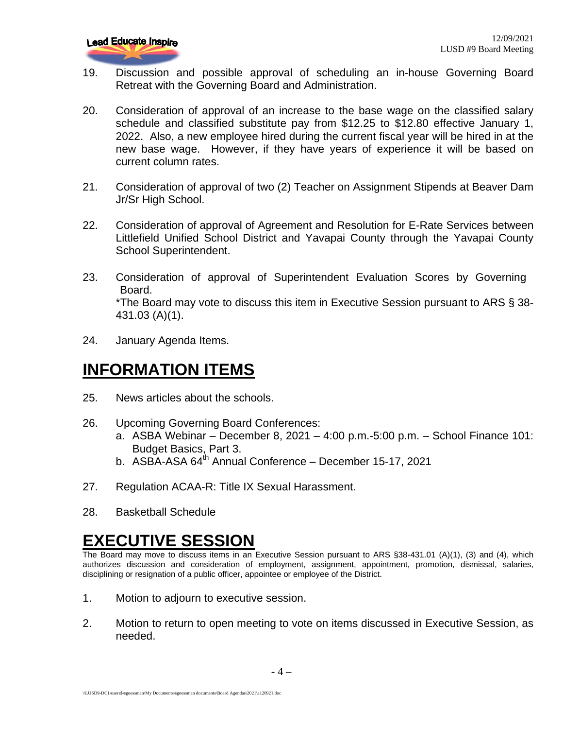- 19. Discussion and possible approval of scheduling an in-house Governing Board Retreat with the Governing Board and Administration.
- 20. Consideration of approval of an increase to the base wage on the classified salary schedule and classified substitute pay from \$12.25 to \$12.80 effective January 1, 2022. Also, a new employee hired during the current fiscal year will be hired in at the new base wage. However, if they have years of experience it will be based on current column rates.
- 21. Consideration of approval of two (2) Teacher on Assignment Stipends at Beaver Dam Jr/Sr High School.
- 22. Consideration of approval of Agreement and Resolution for E-Rate Services between Littlefield Unified School District and Yavapai County through the Yavapai County School Superintendent.
- 23. Consideration of approval of Superintendent Evaluation Scores by Governing Board. \*The Board may vote to discuss this item in Executive Session pursuant to ARS § 38- 431.03 (A)(1).
- 24. January Agenda Items.

### **INFORMATION ITEMS**

- 25. News articles about the schools.
- 26. Upcoming Governing Board Conferences:
	- a. ASBA Webinar December 8, 2021 4:00 p.m.-5:00 p.m. School Finance 101: Budget Basics, Part 3.
	- b. ASBA-ASA 64<sup>th</sup> Annual Conference December 15-17, 2021
- 27. Regulation ACAA-R: Title IX Sexual Harassment.
- 28. Basketball Schedule

### **EXECUTIVE SESSION**

The Board may move to discuss items in an Executive Session pursuant to ARS §38-431.01 (A)(1), (3) and (4), which authorizes discussion and consideration of employment, assignment, appointment, promotion, dismissal, salaries, disciplining or resignation of a public officer, appointee or employee of the District.

- 1. Motion to adjourn to executive session.
- 2. Motion to return to open meeting to vote on items discussed in Executive Session, as needed.